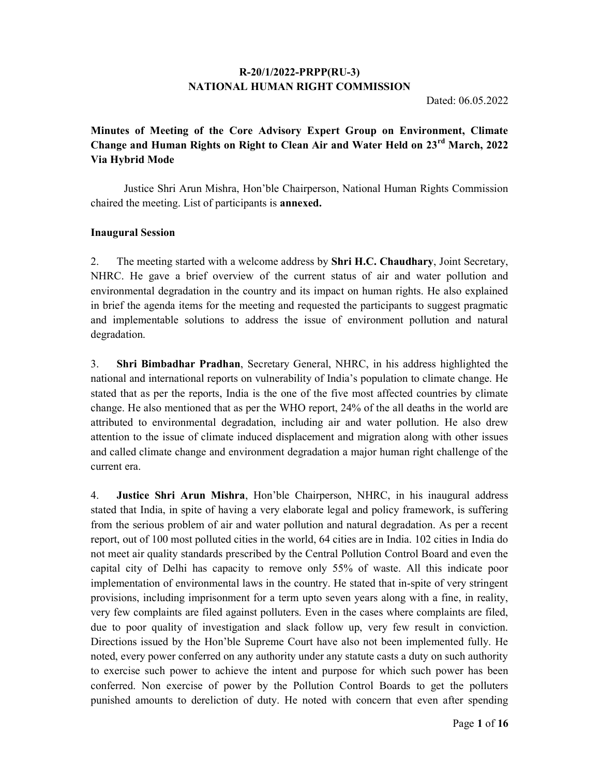## R-20/1/2022-PRPP(RU-3) NATIONAL HUMAN RIGHT COMMISSION

Dated: 06.05.2022

Minutes of Meeting of the Core Advisory Expert Group on Environment, Climate Change and Human Rights on Right to Clean Air and Water Held on 23<sup>rd</sup> March, 2022 Via Hybrid Mode

Justice Shri Arun Mishra, Hon'ble Chairperson, National Human Rights Commission chaired the meeting. List of participants is annexed.

### Inaugural Session

2. The meeting started with a welcome address by Shri H.C. Chaudhary, Joint Secretary, NHRC. He gave a brief overview of the current status of air and water pollution and environmental degradation in the country and its impact on human rights. He also explained in brief the agenda items for the meeting and requested the participants to suggest pragmatic and implementable solutions to address the issue of environment pollution and natural degradation.

3. Shri Bimbadhar Pradhan, Secretary General, NHRC, in his address highlighted the national and international reports on vulnerability of India's population to climate change. He stated that as per the reports, India is the one of the five most affected countries by climate change. He also mentioned that as per the WHO report, 24% of the all deaths in the world are attributed to environmental degradation, including air and water pollution. He also drew attention to the issue of climate induced displacement and migration along with other issues and called climate change and environment degradation a major human right challenge of the current era.

4. Justice Shri Arun Mishra, Hon'ble Chairperson, NHRC, in his inaugural address stated that India, in spite of having a very elaborate legal and policy framework, is suffering from the serious problem of air and water pollution and natural degradation. As per a recent report, out of 100 most polluted cities in the world, 64 cities are in India. 102 cities in India do not meet air quality standards prescribed by the Central Pollution Control Board and even the capital city of Delhi has capacity to remove only 55% of waste. All this indicate poor implementation of environmental laws in the country. He stated that in-spite of very stringent provisions, including imprisonment for a term upto seven years along with a fine, in reality, very few complaints are filed against polluters. Even in the cases where complaints are filed, due to poor quality of investigation and slack follow up, very few result in conviction. Directions issued by the Hon'ble Supreme Court have also not been implemented fully. He noted, every power conferred on any authority under any statute casts a duty on such authority to exercise such power to achieve the intent and purpose for which such power has been conferred. Non exercise of power by the Pollution Control Boards to get the polluters punished amounts to dereliction of duty. He noted with concern that even after spending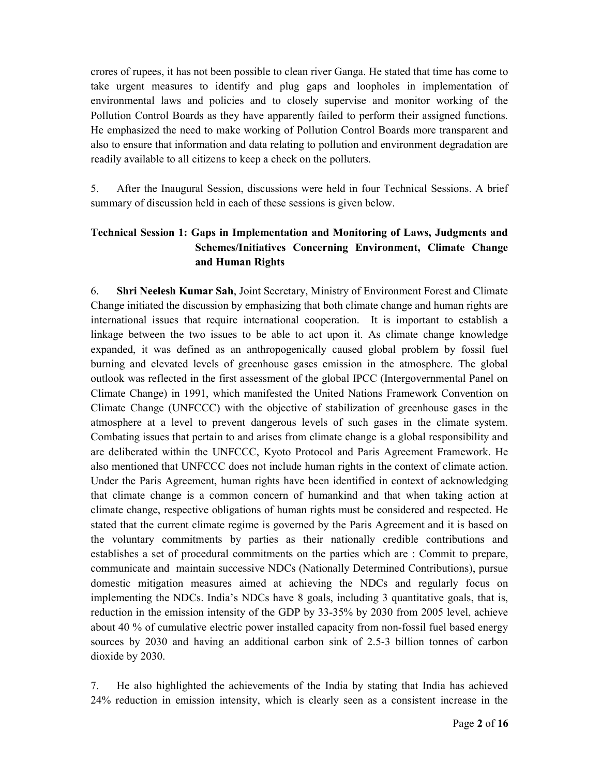crores of rupees, it has not been possible to clean river Ganga. He stated that time has come to take urgent measures to identify and plug gaps and loopholes in implementation of environmental laws and policies and to closely supervise and monitor working of the Pollution Control Boards as they have apparently failed to perform their assigned functions. He emphasized the need to make working of Pollution Control Boards more transparent and also to ensure that information and data relating to pollution and environment degradation are readily available to all citizens to keep a check on the polluters.

5. After the Inaugural Session, discussions were held in four Technical Sessions. A brief summary of discussion held in each of these sessions is given below.

# Technical Session 1: Gaps in Implementation and Monitoring of Laws, Judgments and Schemes/Initiatives Concerning Environment, Climate Change and Human Rights

6. Shri Neelesh Kumar Sah, Joint Secretary, Ministry of Environment Forest and Climate Change initiated the discussion by emphasizing that both climate change and human rights are international issues that require international cooperation. It is important to establish a linkage between the two issues to be able to act upon it. As climate change knowledge expanded, it was defined as an anthropogenically caused global problem by fossil fuel burning and elevated levels of greenhouse gases emission in the atmosphere. The global outlook was reflected in the first assessment of the global IPCC (Intergovernmental Panel on Climate Change) in 1991, which manifested the United Nations Framework Convention on Climate Change (UNFCCC) with the objective of stabilization of greenhouse gases in the atmosphere at a level to prevent dangerous levels of such gases in the climate system. Combating issues that pertain to and arises from climate change is a global responsibility and are deliberated within the UNFCCC, Kyoto Protocol and Paris Agreement Framework. He also mentioned that UNFCCC does not include human rights in the context of climate action. Under the Paris Agreement, human rights have been identified in context of acknowledging that climate change is a common concern of humankind and that when taking action at climate change, respective obligations of human rights must be considered and respected. He stated that the current climate regime is governed by the Paris Agreement and it is based on the voluntary commitments by parties as their nationally credible contributions and establishes a set of procedural commitments on the parties which are : Commit to prepare, communicate and maintain successive NDCs (Nationally Determined Contributions), pursue domestic mitigation measures aimed at achieving the NDCs and regularly focus on implementing the NDCs. India's NDCs have 8 goals, including 3 quantitative goals, that is, reduction in the emission intensity of the GDP by 33-35% by 2030 from 2005 level, achieve about 40 % of cumulative electric power installed capacity from non-fossil fuel based energy sources by 2030 and having an additional carbon sink of 2.5-3 billion tonnes of carbon dioxide by 2030.

7. He also highlighted the achievements of the India by stating that India has achieved 24% reduction in emission intensity, which is clearly seen as a consistent increase in the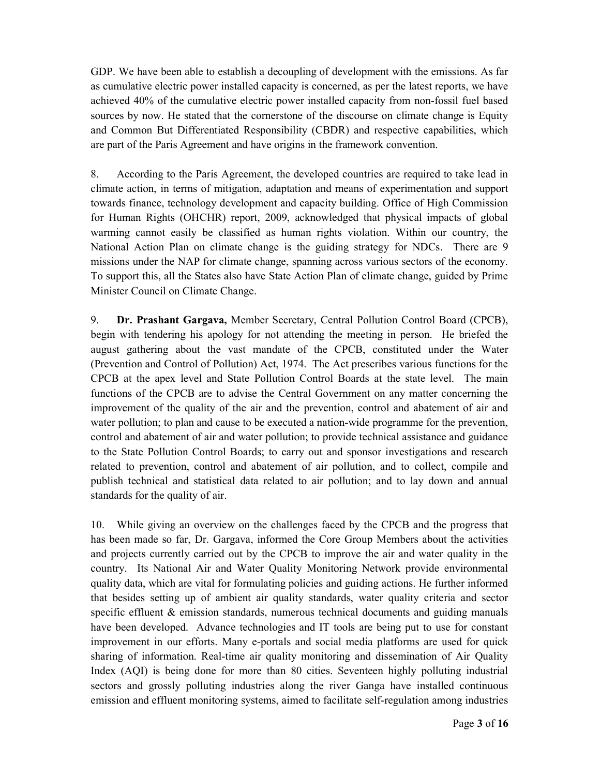GDP. We have been able to establish a decoupling of development with the emissions. As far as cumulative electric power installed capacity is concerned, as per the latest reports, we have achieved 40% of the cumulative electric power installed capacity from non-fossil fuel based sources by now. He stated that the cornerstone of the discourse on climate change is Equity and Common But Differentiated Responsibility (CBDR) and respective capabilities, which are part of the Paris Agreement and have origins in the framework convention.

8. According to the Paris Agreement, the developed countries are required to take lead in climate action, in terms of mitigation, adaptation and means of experimentation and support towards finance, technology development and capacity building. Office of High Commission for Human Rights (OHCHR) report, 2009, acknowledged that physical impacts of global warming cannot easily be classified as human rights violation. Within our country, the National Action Plan on climate change is the guiding strategy for NDCs. There are 9 missions under the NAP for climate change, spanning across various sectors of the economy. To support this, all the States also have State Action Plan of climate change, guided by Prime Minister Council on Climate Change.

9. Dr. Prashant Gargava, Member Secretary, Central Pollution Control Board (CPCB), begin with tendering his apology for not attending the meeting in person. He briefed the august gathering about the vast mandate of the CPCB, constituted under the Water (Prevention and Control of Pollution) Act, 1974. The Act prescribes various functions for the CPCB at the apex level and State Pollution Control Boards at the state level. The main functions of the CPCB are to advise the Central Government on any matter concerning the improvement of the quality of the air and the prevention, control and abatement of air and water pollution; to plan and cause to be executed a nation-wide programme for the prevention, control and abatement of air and water pollution; to provide technical assistance and guidance to the State Pollution Control Boards; to carry out and sponsor investigations and research related to prevention, control and abatement of air pollution, and to collect, compile and publish technical and statistical data related to air pollution; and to lay down and annual standards for the quality of air.

10. While giving an overview on the challenges faced by the CPCB and the progress that has been made so far, Dr. Gargava, informed the Core Group Members about the activities and projects currently carried out by the CPCB to improve the air and water quality in the country. Its National Air and Water Quality Monitoring Network provide environmental quality data, which are vital for formulating policies and guiding actions. He further informed that besides setting up of ambient air quality standards, water quality criteria and sector specific effluent  $\&$  emission standards, numerous technical documents and guiding manuals have been developed. Advance technologies and IT tools are being put to use for constant improvement in our efforts. Many e-portals and social media platforms are used for quick sharing of information. Real-time air quality monitoring and dissemination of Air Quality Index (AQI) is being done for more than 80 cities. Seventeen highly polluting industrial sectors and grossly polluting industries along the river Ganga have installed continuous emission and effluent monitoring systems, aimed to facilitate self-regulation among industries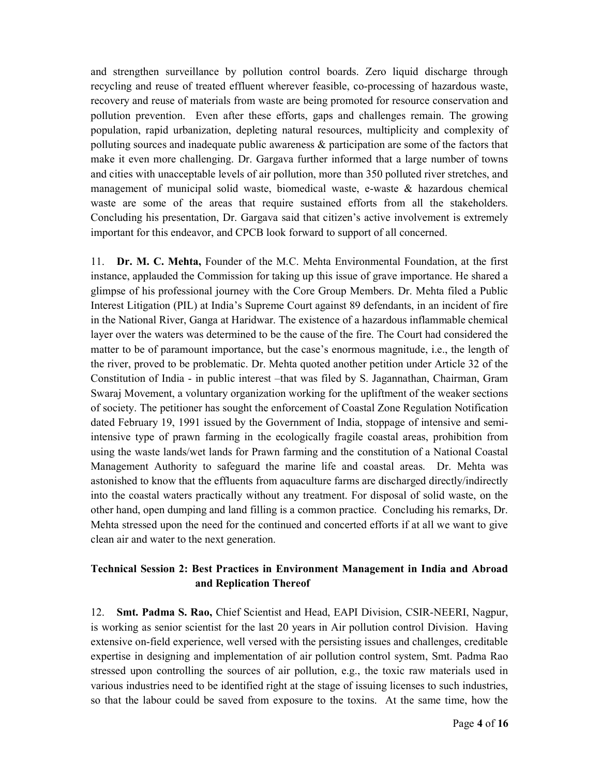and strengthen surveillance by pollution control boards. Zero liquid discharge through recycling and reuse of treated effluent wherever feasible, co-processing of hazardous waste, recovery and reuse of materials from waste are being promoted for resource conservation and pollution prevention. Even after these efforts, gaps and challenges remain. The growing population, rapid urbanization, depleting natural resources, multiplicity and complexity of polluting sources and inadequate public awareness & participation are some of the factors that make it even more challenging. Dr. Gargava further informed that a large number of towns and cities with unacceptable levels of air pollution, more than 350 polluted river stretches, and management of municipal solid waste, biomedical waste, e-waste & hazardous chemical waste are some of the areas that require sustained efforts from all the stakeholders. Concluding his presentation, Dr. Gargava said that citizen's active involvement is extremely important for this endeavor, and CPCB look forward to support of all concerned.

11. Dr. M. C. Mehta, Founder of the M.C. Mehta Environmental Foundation, at the first instance, applauded the Commission for taking up this issue of grave importance. He shared a glimpse of his professional journey with the Core Group Members. Dr. Mehta filed a Public Interest Litigation (PIL) at India's Supreme Court against 89 defendants, in an incident of fire in the National River, Ganga at Haridwar. The existence of a hazardous inflammable chemical layer over the waters was determined to be the cause of the fire. The Court had considered the matter to be of paramount importance, but the case's enormous magnitude, i.e., the length of the river, proved to be problematic. Dr. Mehta quoted another petition under Article 32 of the Constitution of India - in public interest –that was filed by S. Jagannathan, Chairman, Gram Swaraj Movement, a voluntary organization working for the upliftment of the weaker sections of society. The petitioner has sought the enforcement of Coastal Zone Regulation Notification dated February 19, 1991 issued by the Government of India, stoppage of intensive and semiintensive type of prawn farming in the ecologically fragile coastal areas, prohibition from using the waste lands/wet lands for Prawn farming and the constitution of a National Coastal Management Authority to safeguard the marine life and coastal areas. Dr. Mehta was astonished to know that the effluents from aquaculture farms are discharged directly/indirectly into the coastal waters practically without any treatment. For disposal of solid waste, on the other hand, open dumping and land filling is a common practice. Concluding his remarks, Dr. Mehta stressed upon the need for the continued and concerted efforts if at all we want to give clean air and water to the next generation.

## Technical Session 2: Best Practices in Environment Management in India and Abroad and Replication Thereof

12. Smt. Padma S. Rao, Chief Scientist and Head, EAPI Division, CSIR-NEERI, Nagpur, is working as senior scientist for the last 20 years in Air pollution control Division. Having extensive on-field experience, well versed with the persisting issues and challenges, creditable expertise in designing and implementation of air pollution control system, Smt. Padma Rao stressed upon controlling the sources of air pollution, e.g., the toxic raw materials used in various industries need to be identified right at the stage of issuing licenses to such industries, so that the labour could be saved from exposure to the toxins. At the same time, how the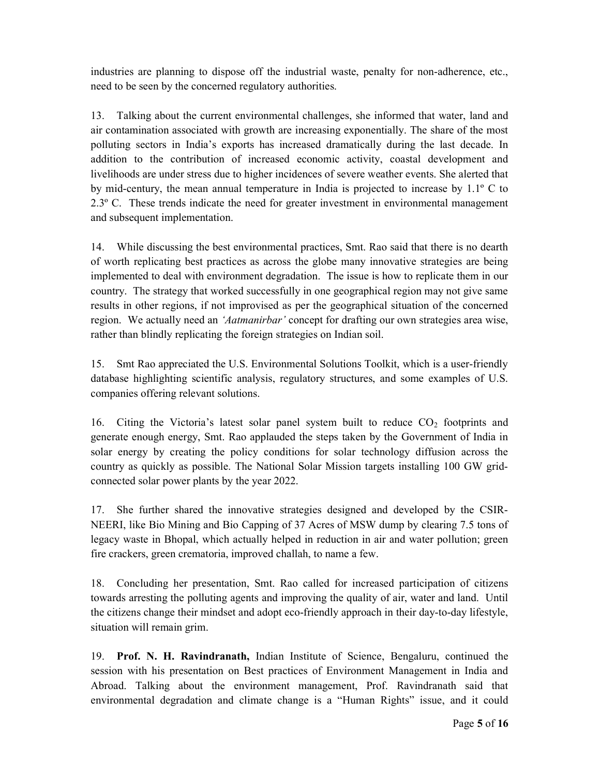industries are planning to dispose off the industrial waste, penalty for non-adherence, etc., need to be seen by the concerned regulatory authorities.

13. Talking about the current environmental challenges, she informed that water, land and air contamination associated with growth are increasing exponentially. The share of the most polluting sectors in India's exports has increased dramatically during the last decade. In addition to the contribution of increased economic activity, coastal development and livelihoods are under stress due to higher incidences of severe weather events. She alerted that by mid-century, the mean annual temperature in India is projected to increase by 1.1º C to 2.3º C. These trends indicate the need for greater investment in environmental management and subsequent implementation.

14. While discussing the best environmental practices, Smt. Rao said that there is no dearth of worth replicating best practices as across the globe many innovative strategies are being implemented to deal with environment degradation. The issue is how to replicate them in our country. The strategy that worked successfully in one geographical region may not give same results in other regions, if not improvised as per the geographical situation of the concerned region. We actually need an '*Aatmanirbar'* concept for drafting our own strategies area wise, rather than blindly replicating the foreign strategies on Indian soil.

15. Smt Rao appreciated the U.S. Environmental Solutions Toolkit, which is a user-friendly database highlighting scientific analysis, regulatory structures, and some examples of U.S. companies offering relevant solutions.

16. Citing the Victoria's latest solar panel system built to reduce  $CO<sub>2</sub>$  footprints and generate enough energy, Smt. Rao applauded the steps taken by the Government of India in solar energy by creating the policy conditions for solar technology diffusion across the country as quickly as possible. The National Solar Mission targets installing 100 GW gridconnected solar power plants by the year 2022.

17. She further shared the innovative strategies designed and developed by the CSIR-NEERI, like Bio Mining and Bio Capping of 37 Acres of MSW dump by clearing 7.5 tons of legacy waste in Bhopal, which actually helped in reduction in air and water pollution; green fire crackers, green crematoria, improved challah, to name a few.

18. Concluding her presentation, Smt. Rao called for increased participation of citizens towards arresting the polluting agents and improving the quality of air, water and land. Until the citizens change their mindset and adopt eco-friendly approach in their day-to-day lifestyle, situation will remain grim.

19. Prof. N. H. Ravindranath, Indian Institute of Science, Bengaluru, continued the session with his presentation on Best practices of Environment Management in India and Abroad. Talking about the environment management, Prof. Ravindranath said that environmental degradation and climate change is a "Human Rights" issue, and it could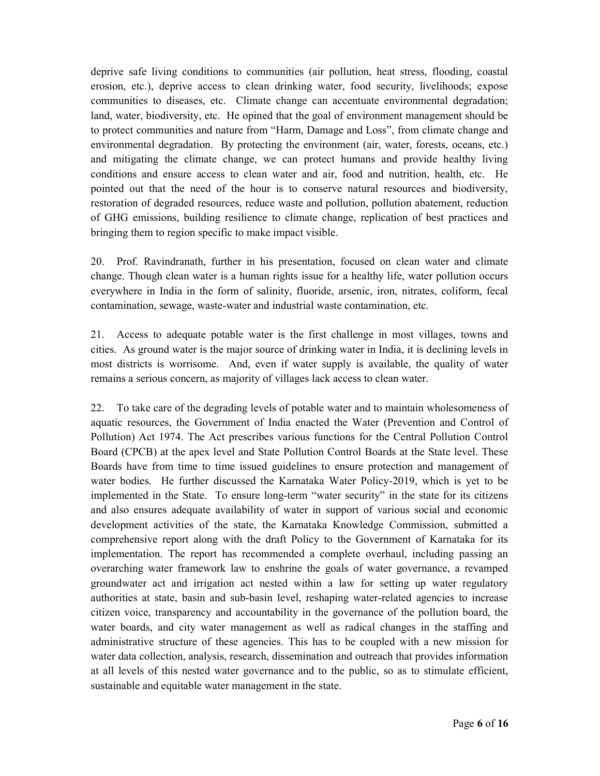deprive safe living conditions to communities (air pollution, heat stress, flooding, coastal erosion, etc.), deprive access to clean drinking water, food security, livelihoods; expose communities to diseases, etc. Climate change can accentuate environmental degradation; land, water, biodiversity, etc. He opined that the goal of environment management should be to protect communities and nature from "Harm, Damage and Loss", from climate change and environmental degradation. By protecting the environment (air, water, forests, oceans, etc.) and mitigating the climate change, we can protect humans and provide healthy living conditions and ensure access to clean water and air, food and nutrition, health, etc. He pointed out that the need of the hour is to conserve natural resources and biodiversity, restoration of degraded resources, reduce waste and pollution, pollution abatement, reduction of GHG emissions, building resilience to climate change, replication of best practices and bringing them to region specific to make impact visible.

20. Prof. Ravindranath, further in his presentation, focused on clean water and climate change. Though clean water is a human rights issue for a healthy life, water pollution occurs everywhere in India in the form of salinity, fluoride, arsenic, iron, nitrates, coliform, fecal contamination, sewage, waste-water and industrial waste contamination, etc.

21. Access to adequate potable water is the first challenge in most villages, towns and cities. As ground water is the major source of drinking water in India, it is declining levels in most districts is worrisome. And, even if water supply is available, the quality of water remains a serious concern, as majority of villages lack access to clean water.

22. To take care of the degrading levels of potable water and to maintain wholesomeness of aquatic resources, the Government of India enacted the Water (Prevention and Control of Pollution) Act 1974. The Act prescribes various functions for the Central Pollution Control Board (CPCB) at the apex level and State Pollution Control Boards at the State level. These Boards have from time to time issued guidelines to ensure protection and management of water bodies. He further discussed the Karnataka Water Policy-2019, which is yet to be implemented in the State. To ensure long-term "water security" in the state for its citizens and also ensures adequate availability of water in support of various social and economic development activities of the state, the Karnataka Knowledge Commission, submitted a comprehensive report along with the draft Policy to the Government of Karnataka for its implementation. The report has recommended a complete overhaul, including passing an overarching water framework law to enshrine the goals of water governance, a revamped groundwater act and irrigation act nested within a law for setting up water regulatory authorities at state, basin and sub-basin level, reshaping water-related agencies to increase citizen voice, transparency and accountability in the governance of the pollution board, the water boards, and city water management as well as radical changes in the staffing and administrative structure of these agencies. This has to be coupled with a new mission for water data collection, analysis, research, dissemination and outreach that provides information at all levels of this nested water governance and to the public, so as to stimulate efficient, sustainable and equitable water management in the state.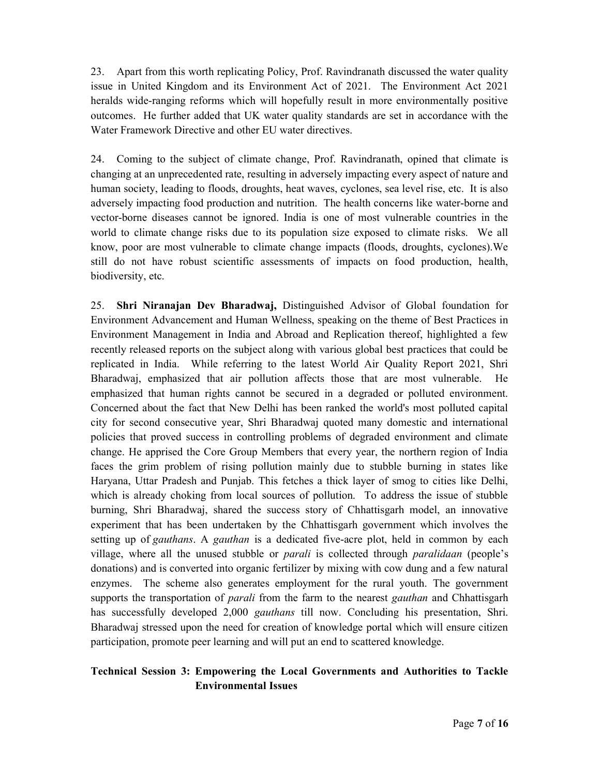23. Apart from this worth replicating Policy, Prof. Ravindranath discussed the water quality issue in United Kingdom and its Environment Act of 2021. The Environment Act 2021 heralds wide-ranging reforms which will hopefully result in more environmentally positive outcomes. He further added that UK water quality standards are set in accordance with the Water Framework Directive and other EU water directives.

24. Coming to the subject of climate change, Prof. Ravindranath, opined that climate is changing at an unprecedented rate, resulting in adversely impacting every aspect of nature and human society, leading to floods, droughts, heat waves, cyclones, sea level rise, etc. It is also adversely impacting food production and nutrition. The health concerns like water-borne and vector-borne diseases cannot be ignored. India is one of most vulnerable countries in the world to climate change risks due to its population size exposed to climate risks. We all know, poor are most vulnerable to climate change impacts (floods, droughts, cyclones).We still do not have robust scientific assessments of impacts on food production, health, biodiversity, etc.

25. Shri Niranajan Dev Bharadwaj, Distinguished Advisor of Global foundation for Environment Advancement and Human Wellness, speaking on the theme of Best Practices in Environment Management in India and Abroad and Replication thereof, highlighted a few recently released reports on the subject along with various global best practices that could be replicated in India. While referring to the latest World Air Quality Report 2021, Shri Bharadwaj, emphasized that air pollution affects those that are most vulnerable. He emphasized that human rights cannot be secured in a degraded or polluted environment. Concerned about the fact that New Delhi has been ranked the world's most polluted capital city for second consecutive year, Shri Bharadwaj quoted many domestic and international policies that proved success in controlling problems of degraded environment and climate change. He apprised the Core Group Members that every year, the northern region of India faces the grim problem of rising pollution mainly due to stubble burning in states like Haryana, Uttar Pradesh and Punjab. This fetches a thick layer of smog to cities like Delhi, which is already choking from local sources of pollution. To address the issue of stubble burning, Shri Bharadwaj, shared the success story of Chhattisgarh model, an innovative experiment that has been undertaken by the Chhattisgarh government which involves the setting up of *gauthans*. A *gauthan* is a dedicated five-acre plot, held in common by each village, where all the unused stubble or *parali* is collected through *paralidaan* (people's donations) and is converted into organic fertilizer by mixing with cow dung and a few natural enzymes. The scheme also generates employment for the rural youth. The government supports the transportation of *parali* from the farm to the nearest *gauthan* and Chhattisgarh has successfully developed 2,000 gauthans till now. Concluding his presentation, Shri. Bharadwaj stressed upon the need for creation of knowledge portal which will ensure citizen participation, promote peer learning and will put an end to scattered knowledge.

## Technical Session 3: Empowering the Local Governments and Authorities to Tackle Environmental Issues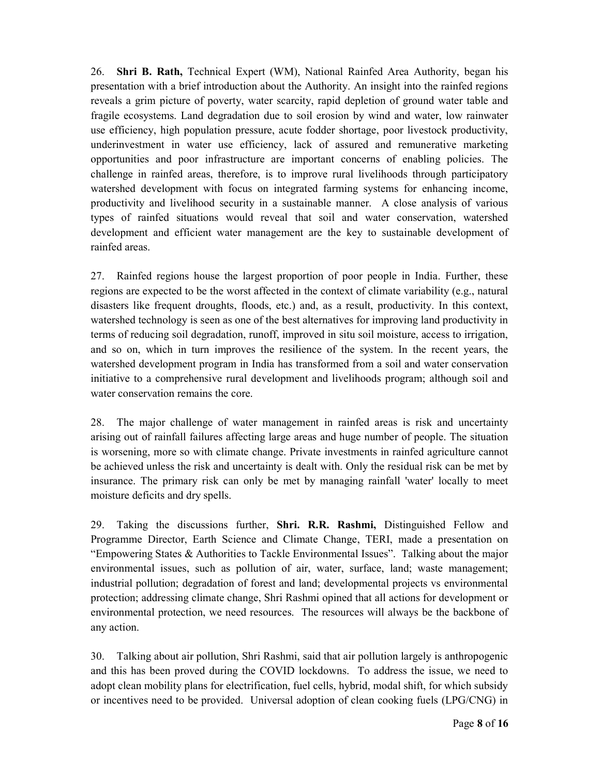26. Shri B. Rath, Technical Expert (WM), National Rainfed Area Authority, began his presentation with a brief introduction about the Authority. An insight into the rainfed regions reveals a grim picture of poverty, water scarcity, rapid depletion of ground water table and fragile ecosystems. Land degradation due to soil erosion by wind and water, low rainwater use efficiency, high population pressure, acute fodder shortage, poor livestock productivity, underinvestment in water use efficiency, lack of assured and remunerative marketing opportunities and poor infrastructure are important concerns of enabling policies. The challenge in rainfed areas, therefore, is to improve rural livelihoods through participatory watershed development with focus on integrated farming systems for enhancing income, productivity and livelihood security in a sustainable manner. A close analysis of various types of rainfed situations would reveal that soil and water conservation, watershed development and efficient water management are the key to sustainable development of rainfed areas.

27. Rainfed regions house the largest proportion of poor people in India. Further, these regions are expected to be the worst affected in the context of climate variability (e.g., natural disasters like frequent droughts, floods, etc.) and, as a result, productivity. In this context, watershed technology is seen as one of the best alternatives for improving land productivity in terms of reducing soil degradation, runoff, improved in situ soil moisture, access to irrigation, and so on, which in turn improves the resilience of the system. In the recent years, the watershed development program in India has transformed from a soil and water conservation initiative to a comprehensive rural development and livelihoods program; although soil and water conservation remains the core.

28. The major challenge of water management in rainfed areas is risk and uncertainty arising out of rainfall failures affecting large areas and huge number of people. The situation is worsening, more so with climate change. Private investments in rainfed agriculture cannot be achieved unless the risk and uncertainty is dealt with. Only the residual risk can be met by insurance. The primary risk can only be met by managing rainfall 'water' locally to meet moisture deficits and dry spells.

29. Taking the discussions further, Shri. R.R. Rashmi, Distinguished Fellow and Programme Director, Earth Science and Climate Change, TERI, made a presentation on "Empowering States & Authorities to Tackle Environmental Issues". Talking about the major environmental issues, such as pollution of air, water, surface, land; waste management; industrial pollution; degradation of forest and land; developmental projects vs environmental protection; addressing climate change, Shri Rashmi opined that all actions for development or environmental protection, we need resources. The resources will always be the backbone of any action.

30. Talking about air pollution, Shri Rashmi, said that air pollution largely is anthropogenic and this has been proved during the COVID lockdowns. To address the issue, we need to adopt clean mobility plans for electrification, fuel cells, hybrid, modal shift, for which subsidy or incentives need to be provided. Universal adoption of clean cooking fuels (LPG/CNG) in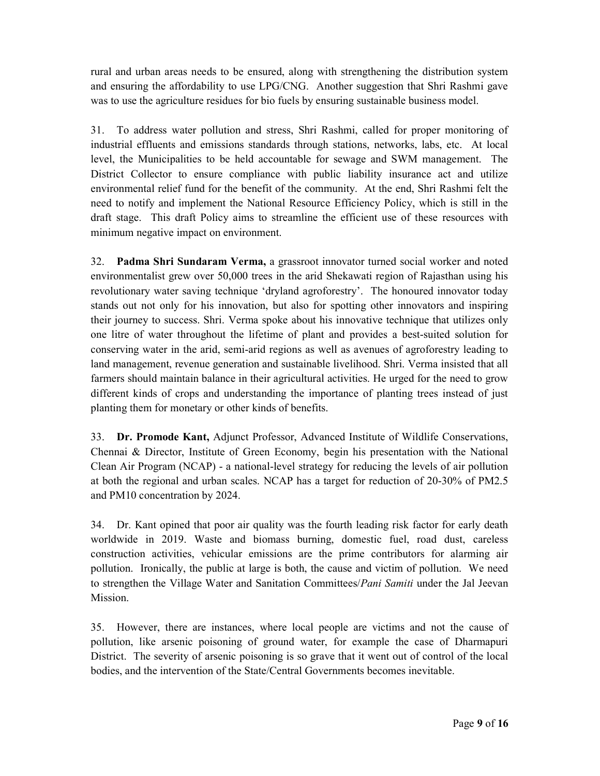rural and urban areas needs to be ensured, along with strengthening the distribution system and ensuring the affordability to use LPG/CNG. Another suggestion that Shri Rashmi gave was to use the agriculture residues for bio fuels by ensuring sustainable business model.

31. To address water pollution and stress, Shri Rashmi, called for proper monitoring of industrial effluents and emissions standards through stations, networks, labs, etc. At local level, the Municipalities to be held accountable for sewage and SWM management. The District Collector to ensure compliance with public liability insurance act and utilize environmental relief fund for the benefit of the community. At the end, Shri Rashmi felt the need to notify and implement the National Resource Efficiency Policy, which is still in the draft stage. This draft Policy aims to streamline the efficient use of these resources with minimum negative impact on environment.

32. Padma Shri Sundaram Verma, a grassroot innovator turned social worker and noted environmentalist grew over 50,000 trees in the arid Shekawati region of Rajasthan using his revolutionary water saving technique 'dryland agroforestry'. The honoured innovator today stands out not only for his innovation, but also for spotting other innovators and inspiring their journey to success. Shri. Verma spoke about his innovative technique that utilizes only one litre of water throughout the lifetime of plant and provides a best-suited solution for conserving water in the arid, semi-arid regions as well as avenues of agroforestry leading to land management, revenue generation and sustainable livelihood. Shri. Verma insisted that all farmers should maintain balance in their agricultural activities. He urged for the need to grow different kinds of crops and understanding the importance of planting trees instead of just planting them for monetary or other kinds of benefits.

33. Dr. Promode Kant, Adjunct Professor, Advanced Institute of Wildlife Conservations, Chennai & Director, Institute of Green Economy, begin his presentation with the National Clean Air Program (NCAP) - a national-level strategy for reducing the levels of air pollution at both the regional and urban scales. NCAP has a target for reduction of 20-30% of PM2.5 and PM10 concentration by 2024.

34. Dr. Kant opined that poor air quality was the fourth leading risk factor for early death worldwide in 2019. Waste and biomass burning, domestic fuel, road dust, careless construction activities, vehicular emissions are the prime contributors for alarming air pollution. Ironically, the public at large is both, the cause and victim of pollution. We need to strengthen the Village Water and Sanitation Committees/*Pani Samiti* under the Jal Jeevan Mission.

35. However, there are instances, where local people are victims and not the cause of pollution, like arsenic poisoning of ground water, for example the case of Dharmapuri District. The severity of arsenic poisoning is so grave that it went out of control of the local bodies, and the intervention of the State/Central Governments becomes inevitable.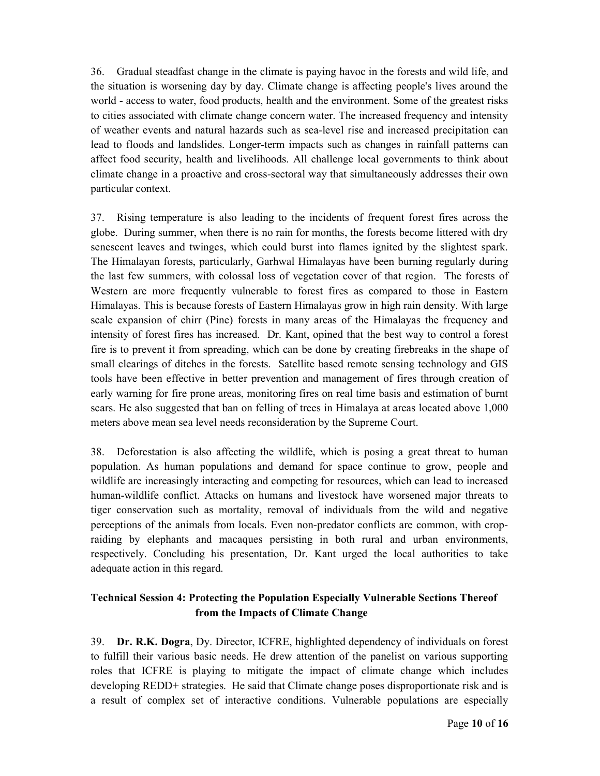36. Gradual steadfast change in the climate is paying havoc in the forests and wild life, and the situation is worsening day by day. Climate change is affecting people's lives around the world - access to water, food products, health and the environment. Some of the greatest risks to cities associated with climate change concern water. The increased frequency and intensity of weather events and natural hazards such as sea-level rise and increased precipitation can lead to floods and landslides. Longer-term impacts such as changes in rainfall patterns can affect food security, health and livelihoods. All challenge local governments to think about climate change in a proactive and cross-sectoral way that simultaneously addresses their own particular context.

37. Rising temperature is also leading to the incidents of frequent forest fires across the globe. During summer, when there is no rain for months, the forests become littered with dry senescent leaves and twinges, which could burst into flames ignited by the slightest spark. The Himalayan forests, particularly, Garhwal Himalayas have been burning regularly during the last few summers, with colossal loss of vegetation cover of that region. The forests of Western are more frequently vulnerable to forest fires as compared to those in Eastern Himalayas. This is because forests of Eastern Himalayas grow in high rain density. With large scale expansion of chirr (Pine) forests in many areas of the Himalayas the frequency and intensity of forest fires has increased. Dr. Kant, opined that the best way to control a forest fire is to prevent it from spreading, which can be done by creating firebreaks in the shape of small clearings of ditches in the forests. Satellite based remote sensing technology and GIS tools have been effective in better prevention and management of fires through creation of early warning for fire prone areas, monitoring fires on real time basis and estimation of burnt scars. He also suggested that ban on felling of trees in Himalaya at areas located above 1,000 meters above mean sea level needs reconsideration by the Supreme Court.

38. Deforestation is also affecting the wildlife, which is posing a great threat to human population. As human populations and demand for space continue to grow, people and wildlife are increasingly interacting and competing for resources, which can lead to increased human-wildlife conflict. Attacks on humans and livestock have worsened major threats to tiger conservation such as mortality, removal of individuals from the wild and negative perceptions of the animals from locals. Even non-predator conflicts are common, with cropraiding by elephants and macaques persisting in both rural and urban environments, respectively. Concluding his presentation, Dr. Kant urged the local authorities to take adequate action in this regard.

# Technical Session 4: Protecting the Population Especially Vulnerable Sections Thereof from the Impacts of Climate Change

39. Dr. R.K. Dogra, Dy. Director, ICFRE, highlighted dependency of individuals on forest to fulfill their various basic needs. He drew attention of the panelist on various supporting roles that ICFRE is playing to mitigate the impact of climate change which includes developing REDD+ strategies. He said that Climate change poses disproportionate risk and is a result of complex set of interactive conditions. Vulnerable populations are especially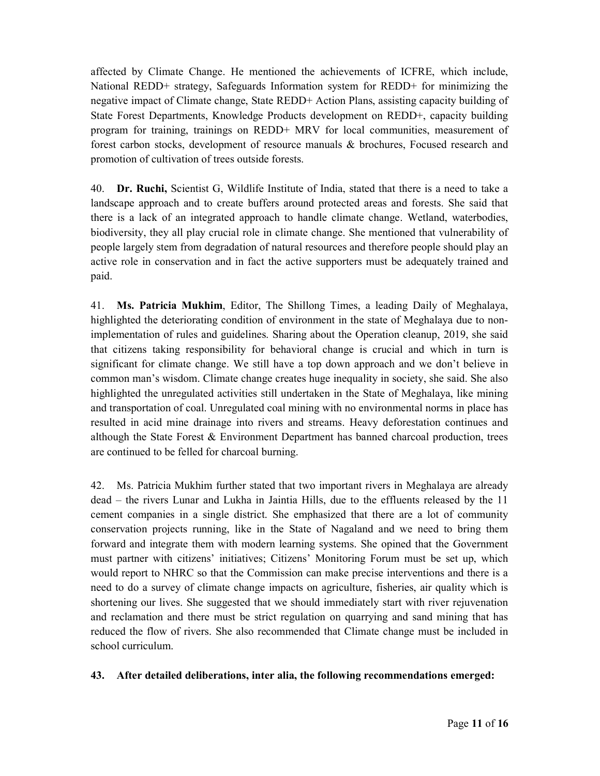affected by Climate Change. He mentioned the achievements of ICFRE, which include, National REDD+ strategy, Safeguards Information system for REDD+ for minimizing the negative impact of Climate change, State REDD+ Action Plans, assisting capacity building of State Forest Departments, Knowledge Products development on REDD+, capacity building program for training, trainings on REDD+ MRV for local communities, measurement of forest carbon stocks, development of resource manuals & brochures, Focused research and promotion of cultivation of trees outside forests.

40. Dr. Ruchi, Scientist G, Wildlife Institute of India, stated that there is a need to take a landscape approach and to create buffers around protected areas and forests. She said that there is a lack of an integrated approach to handle climate change. Wetland, waterbodies, biodiversity, they all play crucial role in climate change. She mentioned that vulnerability of people largely stem from degradation of natural resources and therefore people should play an active role in conservation and in fact the active supporters must be adequately trained and paid.

41. Ms. Patricia Mukhim, Editor, The Shillong Times, a leading Daily of Meghalaya, highlighted the deteriorating condition of environment in the state of Meghalaya due to nonimplementation of rules and guidelines. Sharing about the Operation cleanup, 2019, she said that citizens taking responsibility for behavioral change is crucial and which in turn is significant for climate change. We still have a top down approach and we don't believe in common man's wisdom. Climate change creates huge inequality in society, she said. She also highlighted the unregulated activities still undertaken in the State of Meghalaya, like mining and transportation of coal. Unregulated coal mining with no environmental norms in place has resulted in acid mine drainage into rivers and streams. Heavy deforestation continues and although the State Forest & Environment Department has banned charcoal production, trees are continued to be felled for charcoal burning.

42. Ms. Patricia Mukhim further stated that two important rivers in Meghalaya are already dead – the rivers Lunar and Lukha in Jaintia Hills, due to the effluents released by the 11 cement companies in a single district. She emphasized that there are a lot of community conservation projects running, like in the State of Nagaland and we need to bring them forward and integrate them with modern learning systems. She opined that the Government must partner with citizens' initiatives; Citizens' Monitoring Forum must be set up, which would report to NHRC so that the Commission can make precise interventions and there is a need to do a survey of climate change impacts on agriculture, fisheries, air quality which is shortening our lives. She suggested that we should immediately start with river rejuvenation and reclamation and there must be strict regulation on quarrying and sand mining that has reduced the flow of rivers. She also recommended that Climate change must be included in school curriculum.

### 43. After detailed deliberations, inter alia, the following recommendations emerged: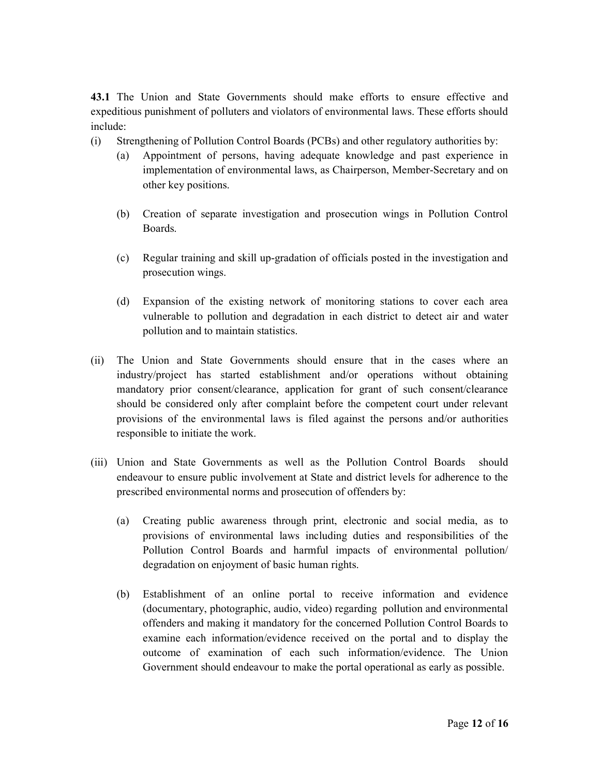43.1 The Union and State Governments should make efforts to ensure effective and expeditious punishment of polluters and violators of environmental laws. These efforts should include:

- (i) Strengthening of Pollution Control Boards (PCBs) and other regulatory authorities by:
	- (a) Appointment of persons, having adequate knowledge and past experience in implementation of environmental laws, as Chairperson, Member-Secretary and on other key positions.
	- (b) Creation of separate investigation and prosecution wings in Pollution Control Boards.
	- (c) Regular training and skill up-gradation of officials posted in the investigation and prosecution wings.
	- (d) Expansion of the existing network of monitoring stations to cover each area vulnerable to pollution and degradation in each district to detect air and water pollution and to maintain statistics.
- (ii) The Union and State Governments should ensure that in the cases where an industry/project has started establishment and/or operations without obtaining mandatory prior consent/clearance, application for grant of such consent/clearance should be considered only after complaint before the competent court under relevant provisions of the environmental laws is filed against the persons and/or authorities responsible to initiate the work.
- (iii) Union and State Governments as well as the Pollution Control Boards should endeavour to ensure public involvement at State and district levels for adherence to the prescribed environmental norms and prosecution of offenders by:
	- (a) Creating public awareness through print, electronic and social media, as to provisions of environmental laws including duties and responsibilities of the Pollution Control Boards and harmful impacts of environmental pollution/ degradation on enjoyment of basic human rights.
	- (b) Establishment of an online portal to receive information and evidence (documentary, photographic, audio, video) regarding pollution and environmental offenders and making it mandatory for the concerned Pollution Control Boards to examine each information/evidence received on the portal and to display the outcome of examination of each such information/evidence. The Union Government should endeavour to make the portal operational as early as possible.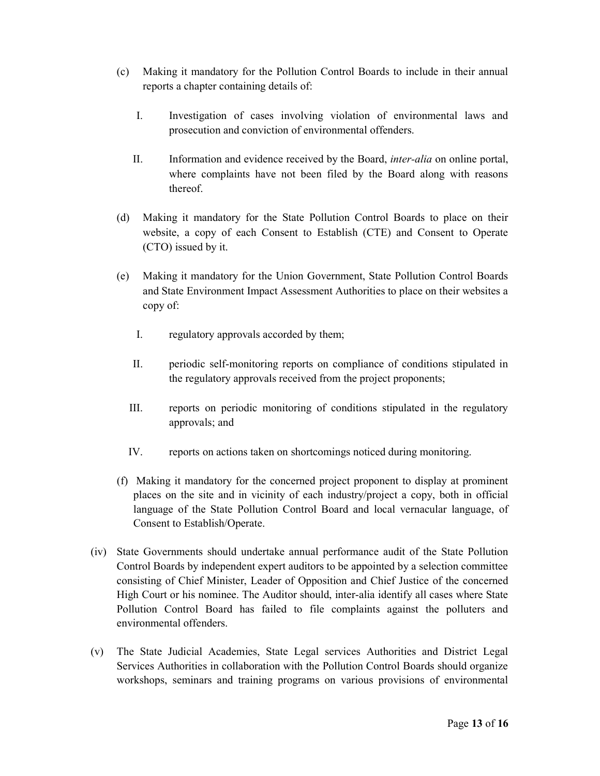- (c) Making it mandatory for the Pollution Control Boards to include in their annual reports a chapter containing details of:
	- I. Investigation of cases involving violation of environmental laws and prosecution and conviction of environmental offenders.
	- II. Information and evidence received by the Board, inter-alia on online portal, where complaints have not been filed by the Board along with reasons thereof.
- (d) Making it mandatory for the State Pollution Control Boards to place on their website, a copy of each Consent to Establish (CTE) and Consent to Operate (CTO) issued by it.
- (e) Making it mandatory for the Union Government, State Pollution Control Boards and State Environment Impact Assessment Authorities to place on their websites a copy of:
	- I. regulatory approvals accorded by them;
	- II. periodic self-monitoring reports on compliance of conditions stipulated in the regulatory approvals received from the project proponents;
	- III. reports on periodic monitoring of conditions stipulated in the regulatory approvals; and
	- IV. reports on actions taken on shortcomings noticed during monitoring.
- (f) Making it mandatory for the concerned project proponent to display at prominent places on the site and in vicinity of each industry/project a copy, both in official language of the State Pollution Control Board and local vernacular language, of Consent to Establish/Operate.
- (iv) State Governments should undertake annual performance audit of the State Pollution Control Boards by independent expert auditors to be appointed by a selection committee consisting of Chief Minister, Leader of Opposition and Chief Justice of the concerned High Court or his nominee. The Auditor should, inter-alia identify all cases where State Pollution Control Board has failed to file complaints against the polluters and environmental offenders.
- (v) The State Judicial Academies, State Legal services Authorities and District Legal Services Authorities in collaboration with the Pollution Control Boards should organize workshops, seminars and training programs on various provisions of environmental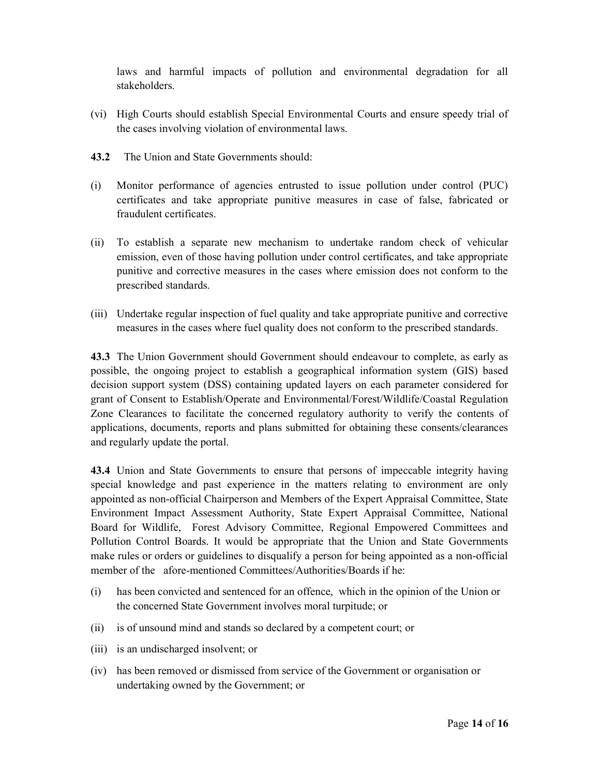laws and harmful impacts of pollution and environmental degradation for all stakeholders.

- (vi) High Courts should establish Special Environmental Courts and ensure speedy trial of the cases involving violation of environmental laws.
- 43.2 The Union and State Governments should:
- (i) Monitor performance of agencies entrusted to issue pollution under control (PUC) certificates and take appropriate punitive measures in case of false, fabricated or fraudulent certificates.
- (ii) To establish a separate new mechanism to undertake random check of vehicular emission, even of those having pollution under control certificates, and take appropriate punitive and corrective measures in the cases where emission does not conform to the prescribed standards.
- (iii) Undertake regular inspection of fuel quality and take appropriate punitive and corrective measures in the cases where fuel quality does not conform to the prescribed standards.

43.3 The Union Government should Government should endeavour to complete, as early as possible, the ongoing project to establish a geographical information system (GIS) based decision support system (DSS) containing updated layers on each parameter considered for grant of Consent to Establish/Operate and Environmental/Forest/Wildlife/Coastal Regulation Zone Clearances to facilitate the concerned regulatory authority to verify the contents of applications, documents, reports and plans submitted for obtaining these consents/clearances and regularly update the portal.

43.4 Union and State Governments to ensure that persons of impeccable integrity having special knowledge and past experience in the matters relating to environment are only appointed as non-official Chairperson and Members of the Expert Appraisal Committee, State Environment Impact Assessment Authority, State Expert Appraisal Committee, National Board for Wildlife, Forest Advisory Committee, Regional Empowered Committees and Pollution Control Boards. It would be appropriate that the Union and State Governments make rules or orders or guidelines to disqualify a person for being appointed as a non-official member of the afore-mentioned Committees/Authorities/Boards if he:

- (i) has been convicted and sentenced for an offence, which in the opinion of the Union or the concerned State Government involves moral turpitude; or
- (ii) is of unsound mind and stands so declared by a competent court; or
- (iii) is an undischarged insolvent; or
- (iv) has been removed or dismissed from service of the Government or organisation or undertaking owned by the Government; or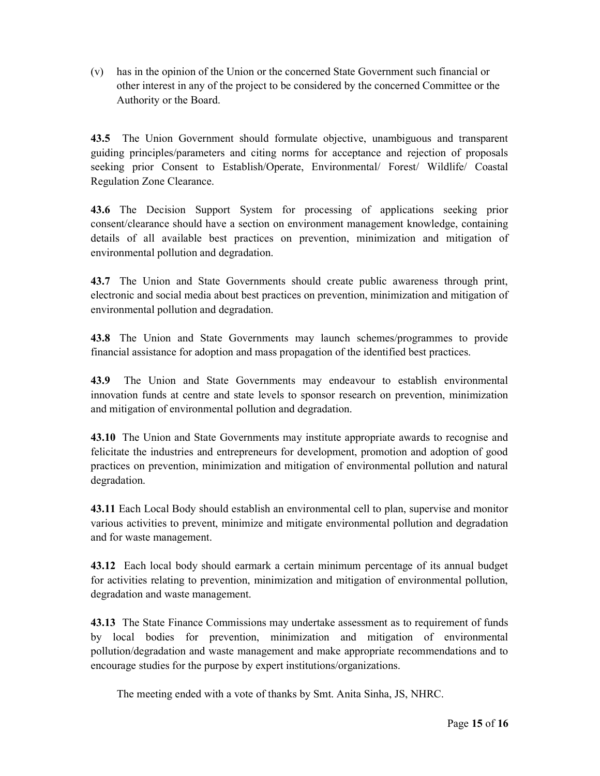(v) has in the opinion of the Union or the concerned State Government such financial or other interest in any of the project to be considered by the concerned Committee or the Authority or the Board.

43.5 The Union Government should formulate objective, unambiguous and transparent guiding principles/parameters and citing norms for acceptance and rejection of proposals seeking prior Consent to Establish/Operate, Environmental/ Forest/ Wildlife/ Coastal Regulation Zone Clearance.

43.6 The Decision Support System for processing of applications seeking prior consent/clearance should have a section on environment management knowledge, containing details of all available best practices on prevention, minimization and mitigation of environmental pollution and degradation.

43.7 The Union and State Governments should create public awareness through print, electronic and social media about best practices on prevention, minimization and mitigation of environmental pollution and degradation.

43.8 The Union and State Governments may launch schemes/programmes to provide financial assistance for adoption and mass propagation of the identified best practices.

43.9 The Union and State Governments may endeavour to establish environmental innovation funds at centre and state levels to sponsor research on prevention, minimization and mitigation of environmental pollution and degradation.

43.10 The Union and State Governments may institute appropriate awards to recognise and felicitate the industries and entrepreneurs for development, promotion and adoption of good practices on prevention, minimization and mitigation of environmental pollution and natural degradation.

43.11 Each Local Body should establish an environmental cell to plan, supervise and monitor various activities to prevent, minimize and mitigate environmental pollution and degradation and for waste management.

43.12 Each local body should earmark a certain minimum percentage of its annual budget for activities relating to prevention, minimization and mitigation of environmental pollution, degradation and waste management.

43.13 The State Finance Commissions may undertake assessment as to requirement of funds by local bodies for prevention, minimization and mitigation of environmental pollution/degradation and waste management and make appropriate recommendations and to encourage studies for the purpose by expert institutions/organizations.

The meeting ended with a vote of thanks by Smt. Anita Sinha, JS, NHRC.